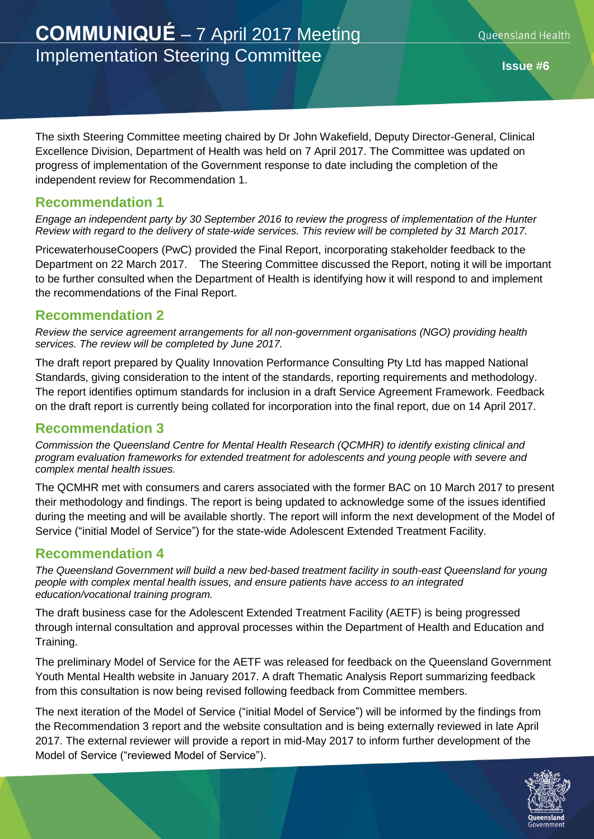# **COMMUNIQUÉ** – 7 April 2017 Meeting Implementation Steering Committee

The sixth Steering Committee meeting chaired by Dr John Wakefield, Deputy Director-General, Clinical Excellence Division, Department of Health was held on 7 April 2017. The Committee was updated on progress of implementation of the Government response to date including the completion of the independent review for Recommendation 1.

#### **Recommendation 1**

*Engage an independent party by 30 September 2016 to review the progress of implementation of the Hunter Review with regard to the delivery of state-wide services. This review will be completed by 31 March 2017.*

PricewaterhouseCoopers (PwC) provided the Final Report, incorporating stakeholder feedback to the Department on 22 March 2017. The Steering Committee discussed the Report, noting it will be important to be further consulted when the Department of Health is identifying how it will respond to and implement the recommendations of the Final Report.

#### **Recommendation 2**

*Review the service agreement arrangements for all non-government organisations (NGO) providing health services. The review will be completed by June 2017.*

The draft report prepared by Quality Innovation Performance Consulting Pty Ltd has mapped National Standards, giving consideration to the intent of the standards, reporting requirements and methodology. The report identifies optimum standards for inclusion in a draft Service Agreement Framework. Feedback on the draft report is currently being collated for incorporation into the final report, due on 14 April 2017.

## **Recommendation 3**

*Commission the Queensland Centre for Mental Health Research (QCMHR) to identify existing clinical and program evaluation frameworks for extended treatment for adolescents and young people with severe and complex mental health issues.*

The QCMHR met with consumers and carers associated with the former BAC on 10 March 2017 to present their methodology and findings. The report is being updated to acknowledge some of the issues identified during the meeting and will be available shortly. The report will inform the next development of the Model of Service ("initial Model of Service") for the state-wide Adolescent Extended Treatment Facility.

## **Recommendation 4**

*The Queensland Government will build a new bed-based treatment facility in south-east Queensland for young people with complex mental health issues, and ensure patients have access to an integrated education/vocational training program.*

The draft business case for the Adolescent Extended Treatment Facility (AETF) is being progressed through internal consultation and approval processes within the Department of Health and Education and Training.

The preliminary Model of Service for the AETF was released for feedback on the Queensland Government Youth Mental Health website in January 2017. A draft Thematic Analysis Report summarizing feedback from this consultation is now being revised following feedback from Committee members.

The next iteration of the Model of Service ("initial Model of Service") will be informed by the findings from the Recommendation 3 report and the website consultation and is being externally reviewed in late April 2017. The external reviewer will provide a report in mid-May 2017 to inform further development of the Model of Service ("reviewed Model of Service").